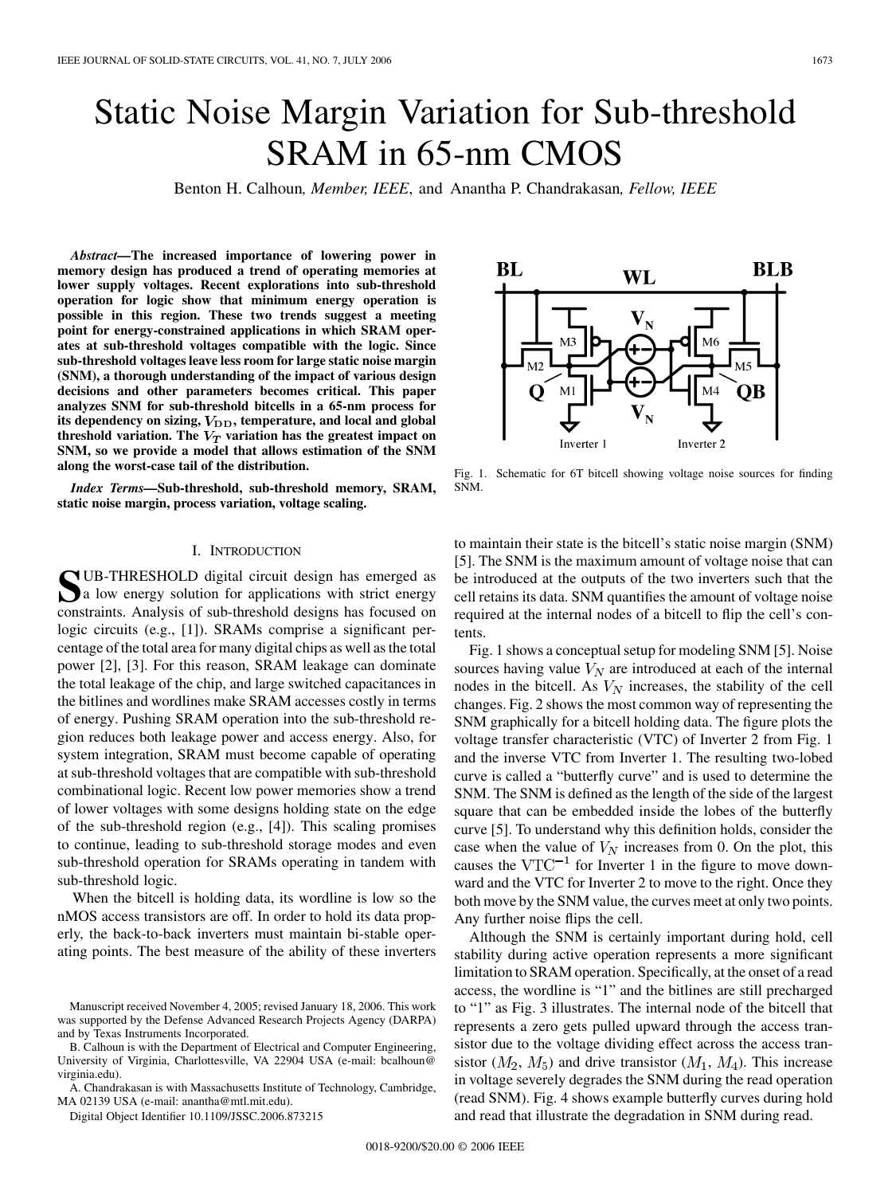# Static Noise Margin Variation for Sub-threshold SRAM in 65-nm CMOS

Benton H. Calhoun*, Member, IEEE*, and Anantha P. Chandrakasan*, Fellow, IEEE*

*Abstract—***The increased importance of lowering power in memory design has produced a trend of operating memories at lower supply voltages. Recent explorations into sub-threshold operation for logic show that minimum energy operation is possible in this region. These two trends suggest a meeting point for energy-constrained applications in which SRAM operates at sub-threshold voltages compatible with the logic. Since sub-threshold voltages leave less room for large static noise margin (SNM), a thorough understanding of the impact of various design decisions and other parameters becomes critical. This paper analyzes SNM for sub-threshold bitcells in a 65-nm process for** its dependency on sizing,  $V_{\text{DD}}$ , temperature, and local and global **threshold variation. The**  $V_T$  variation has the greatest impact on **SNM, so we provide a model that allows estimation of the SNM along the worst-case tail of the distribution.**

*Index Terms—***Sub-threshold, sub-threshold memory, SRAM, static noise margin, process variation, voltage scaling.**

# I. INTRODUCTION

SUB-THRESHOLD digital circuit design has emerged as<br>a low energy solution for applications with strict energy<br>constraints. Applying of sub-threshold designs has focused on constraints. Analysis of sub-threshold designs has focused on logic circuits (e.g., [\[1\]\)](#page-6-0). SRAMs comprise a significant percentage of the total area for many digital chips as well as the total power [\[2\], \[3\].](#page-6-0) For this reason, SRAM leakage can dominate the total leakage of the chip, and large switched capacitances in the bitlines and wordlines make SRAM accesses costly in terms of energy. Pushing SRAM operation into the sub-threshold region reduces both leakage power and access energy. Also, for system integration, SRAM must become capable of operating at sub-threshold voltages that are compatible with sub-threshold combinational logic. Recent low power memories show a trend of lower voltages with some designs holding state on the edge of the sub-threshold region (e.g., [\[4\]\)](#page-6-0). This scaling promises to continue, leading to sub-threshold storage modes and even sub-threshold operation for SRAMs operating in tandem with sub-threshold logic.

When the bitcell is holding data, its wordline is low so the nMOS access transistors are off. In order to hold its data properly, the back-to-back inverters must maintain bi-stable operating points. The best measure of the ability of these inverters

B. Calhoun is with the Department of Electrical and Computer Engineering, University of Virginia, Charlottesville, VA 22904 USA (e-mail: bcalhoun@ virginia.edu).

A. Chandrakasan is with Massachusetts Institute of Technology, Cambridge, MA 02139 USA (e-mail: anantha@mtl.mit.edu).

Digital Object Identifier 10.1109/JSSC.2006.873215

BL **BLB** WL  $M$ OВ Inverter<sub>2</sub> Inverter 1

Fig. 1. Schematic for 6T bitcell showing voltage noise sources for finding SNM.

to maintain their state is the bitcell's static noise margin (SNM) [\[5\].](#page-6-0) The SNM is the maximum amount of voltage noise that can be introduced at the outputs of the two inverters such that the cell retains its data. SNM quantifies the amount of voltage noise required at the internal nodes of a bitcell to flip the cell's contents.

Fig. 1 shows a conceptual setup for modeling SNM [\[5\].](#page-6-0) Noise sources having value  $V_N$  are introduced at each of the internal nodes in the bitcell. As  $V_N$  increases, the stability of the cell changes. [Fig. 2](#page-1-0) shows the most common way of representing the SNM graphically for a bitcell holding data. The figure plots the voltage transfer characteristic (VTC) of Inverter 2 from Fig. 1 and the inverse VTC from Inverter 1. The resulting two-lobed curve is called a "butterfly curve" and is used to determine the SNM. The SNM is defined as the length of the side of the largest square that can be embedded inside the lobes of the butterfly curve [\[5\]](#page-6-0). To understand why this definition holds, consider the case when the value of  $V_N$  increases from 0. On the plot, this causes the  $VTC^{-1}$  for Inverter 1 in the figure to move downward and the VTC for Inverter 2 to move to the right. Once they both move by the SNM value, the curves meet at only two points. Any further noise flips the cell.

Although the SNM is certainly important during hold, cell stability during active operation represents a more significant limitation to SRAM operation. Specifically, at the onset of a read access, the wordline is "1" and the bitlines are still precharged to "1" as [Fig. 3](#page-1-0) illustrates. The internal node of the bitcell that represents a zero gets pulled upward through the access transistor due to the voltage dividing effect across the access transistor  $(M_2, M_5)$  and drive transistor  $(M_1, M_4)$ . This increase in voltage severely degrades the SNM during the read operation (read SNM). [Fig. 4](#page-1-0) shows example butterfly curves during hold and read that illustrate the degradation in SNM during read.



Manuscript received November 4, 2005; revised January 18, 2006. This work was supported by the Defense Advanced Research Projects Agency (DARPA) and by Texas Instruments Incorporated.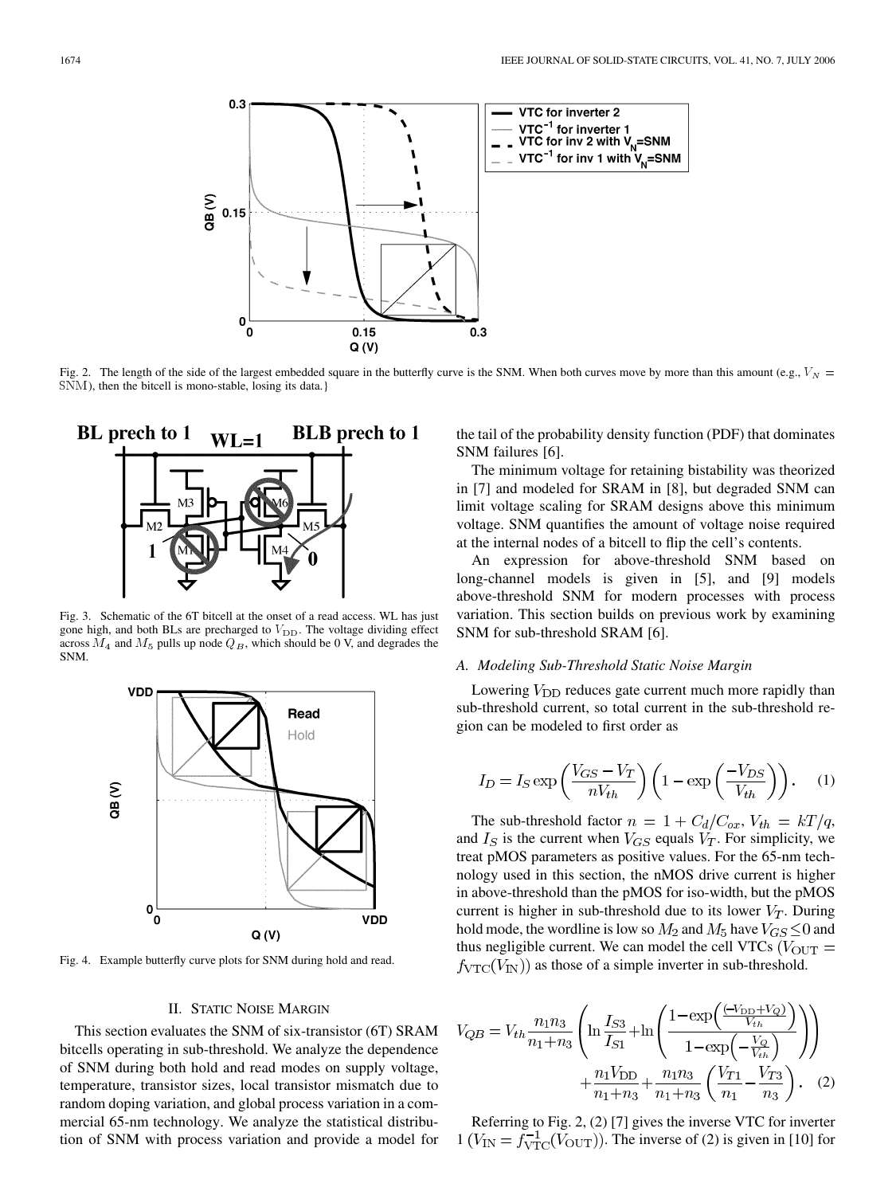<span id="page-1-0"></span>

Fig. 2. The length of the side of the largest embedded square in the butterfly curve is the SNM. When both curves move by more than this amount (e.g.,  $V_N$  = SNM), then the bitcell is mono-stable, losing its data.}



Fig. 3. Schematic of the 6T bitcell at the onset of a read access. WL has just gone high, and both BLs are precharged to  $V_{\text{DD}}$ . The voltage dividing effect across  $M_4$  and  $M_5$  pulls up node  $Q_B$ , which should be 0 V, and degrades the SNM.



Fig. 4. Example butterfly curve plots for SNM during hold and read.

## II. STATIC NOISE MARGIN

This section evaluates the SNM of six-transistor (6T) SRAM bitcells operating in sub-threshold. We analyze the dependence of SNM during both hold and read modes on supply voltage, temperature, transistor sizes, local transistor mismatch due to random doping variation, and global process variation in a commercial 65-nm technology. We analyze the statistical distribution of SNM with process variation and provide a model for the tail of the probability density function (PDF) that dominates SNM failures [\[6\]](#page-6-0).

The minimum voltage for retaining bistability was theorized in [\[7\]](#page-6-0) and modeled for SRAM in [\[8\]](#page-6-0), but degraded SNM can limit voltage scaling for SRAM designs above this minimum voltage. SNM quantifies the amount of voltage noise required at the internal nodes of a bitcell to flip the cell's contents.

An expression for above-threshold SNM based on long-channel models is given in [\[5\],](#page-6-0) and [\[9\]](#page-6-0) models above-threshold SNM for modern processes with process variation. This section builds on previous work by examining SNM for sub-threshold SRAM [\[6\].](#page-6-0)

# *A. Modeling Sub-Threshold Static Noise Margin*

Lowering  $V_{\text{DD}}$  reduces gate current much more rapidly than sub-threshold current, so total current in the sub-threshold region can be modeled to first order as

$$
I_D = I_S \exp\left(\frac{V_{GS} - V_T}{nV_{th}}\right) \left(1 - \exp\left(\frac{-V_{DS}}{V_{th}}\right)\right). \tag{1}
$$

The sub-threshold factor  $n = 1 + C_d/C_{ox}$ ,  $V_{th} = kT/q$ , and  $I_S$  is the current when  $V_{GS}$  equals  $V_T$ . For simplicity, we treat pMOS parameters as positive values. For the 65-nm technology used in this section, the nMOS drive current is higher in above-threshold than the pMOS for iso-width, but the pMOS current is higher in sub-threshold due to its lower  $V_T$ . During hold mode, the wordline is low so  $M_2$  and  $M_5$  have  $V_{GS} \leq 0$  and thus negligible current. We can model the cell VTCs ( $V_{\text{OUT}} =$  $f_{\text{VTC}}(V_{\text{IN}})$  as those of a simple inverter in sub-threshold.

$$
V_{QB} = V_{th} \frac{n_1 n_3}{n_1 + n_3} \left( \ln \frac{I_{S3}}{I_{S1}} + \ln \left( \frac{1 - \exp\left(\frac{(-V_{DD} + V_Q)}{V_{th}}\right)}{1 - \exp\left(-\frac{V_Q}{V_{th}}\right)} \right) \right) + \frac{n_1 V_{DD}}{n_1 + n_3} + \frac{n_1 n_3}{n_1 + n_3} \left( \frac{V_{T1}}{n_1} - \frac{V_{T3}}{n_3} \right). \tag{2}
$$

Referring to Fig. 2, (2) [\[7\]](#page-6-0) gives the inverse VTC for inverter  $1 (V_{\text{IN}} = f_{\text{VTC}}^{-1}(V_{\text{OUT}}))$ . The inverse of (2) is given in [\[10\]](#page-6-0) for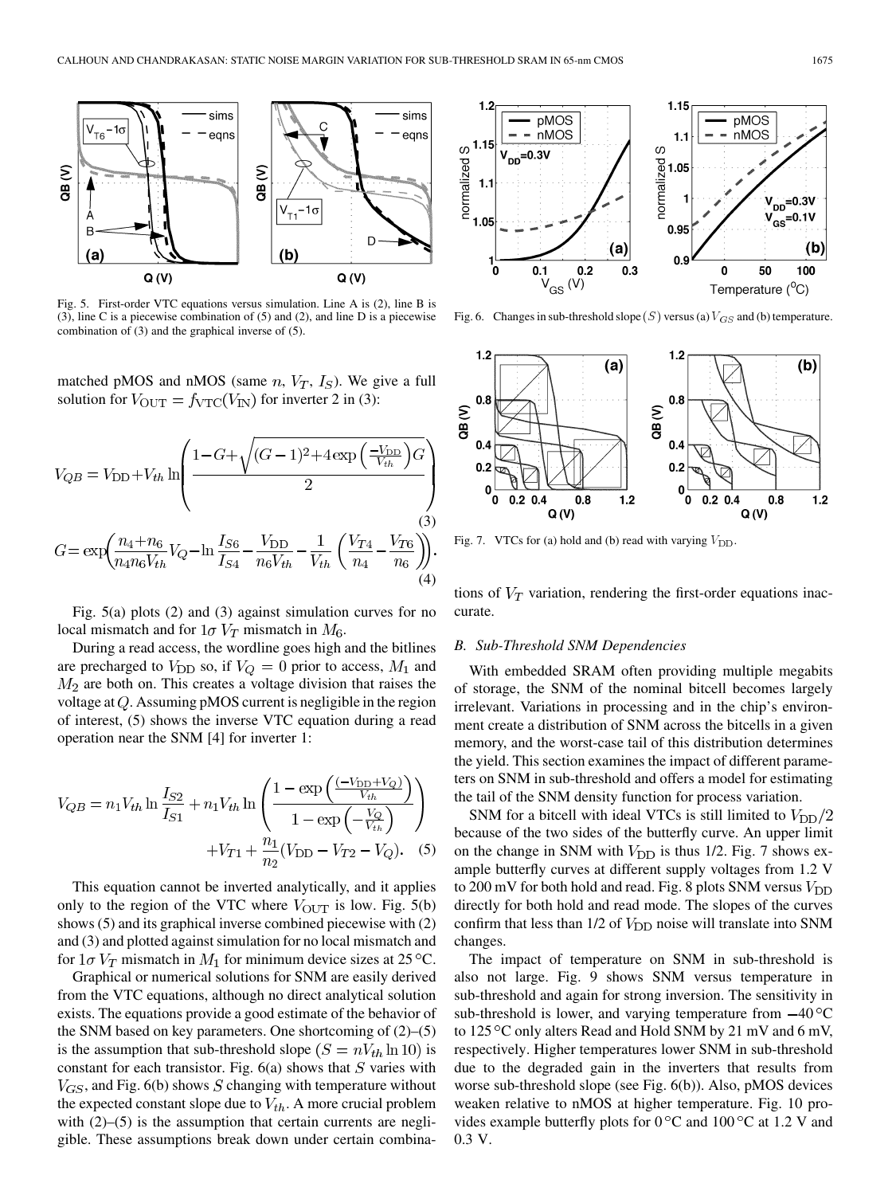<span id="page-2-0"></span>

Fig. 5. First-order VTC equations versus simulation. Line A is [\(2\),](#page-1-0) line B is (3), line C is a piecewise combination of (5) and [\(2\),](#page-1-0) and line D is a piecewise combination of (3) and the graphical inverse of (5).

matched pMOS and nMOS (same  $n, V_T, I_S$ ). We give a full solution for  $V_{\text{OUT}} = f_{\text{VTC}}(V_{\text{IN}})$  for inverter 2 in (3):

$$
V_{QB} = V_{\rm DD} + V_{th} \ln \left( \frac{1 - G + \sqrt{(G - 1)^2 + 4 \exp\left(\frac{-V_{\rm DD}}{V_{th}}\right) G}}{2} \right)
$$
  

$$
G = \exp \left( \frac{n_4 + n_6}{n_4 n_6 V_{th}} V_Q - \ln \frac{I_{S6}}{I_{S4}} - \frac{V_{\rm DD}}{n_6 V_{th}} - \frac{1}{V_{th}} \left( \frac{V_{T4}}{n_4} - \frac{V_{T6}}{n_6} \right) \right).
$$
  
(4)

Fig. 5(a) plots [\(2\)](#page-1-0) and (3) against simulation curves for no local mismatch and for  $1\sigma V_T$  mismatch in  $M_6$ .

During a read access, the wordline goes high and the bitlines are precharged to  $V_{\text{DD}}$  so, if  $V_Q = 0$  prior to access,  $M_1$  and  $M<sub>2</sub>$  are both on. This creates a voltage division that raises the voltage at  $Q$ . Assuming pMOS current is negligible in the region of interest, (5) shows the inverse VTC equation during a read operation near the SNM [\[4\]](#page-6-0) for inverter 1:

$$
V_{QB} = n_1 V_{th} \ln \frac{I_{S2}}{I_{S1}} + n_1 V_{th} \ln \left( \frac{1 - \exp\left(\frac{(-V_{DD} + V_Q)}{V_{th}}\right)}{1 - \exp\left(-\frac{V_Q}{V_{th}}\right)} \right) + V_{T1} + \frac{n_1}{n_2} (V_{DD} - V_{T2} - V_Q). \quad (5)
$$

This equation cannot be inverted analytically, and it applies only to the region of the VTC where  $V_{\text{OUT}}$  is low. Fig. 5(b) shows (5) and its graphical inverse combined piecewise with [\(2\)](#page-1-0) and (3) and plotted against simulation for no local mismatch and for  $1\sigma$   $V_T$  mismatch in  $M_1$  for minimum device sizes at 25 °C.

Graphical or numerical solutions for SNM are easily derived from the VTC equations, although no direct analytical solution exists. The equations provide a good estimate of the behavior of the SNM based on key parameters. One shortcoming of [\(2\)–](#page-1-0)(5) is the assumption that sub-threshold slope  $(S = nV_{th} \ln 10)$  is constant for each transistor. Fig.  $6(a)$  shows that  $S$  varies with  $V_{GS}$ , and Fig. 6(b) shows S changing with temperature without the expected constant slope due to  $V_{th}$ . A more crucial problem with  $(2)$ – $(5)$  is the assumption that certain currents are negligible. These assumptions break down under certain combina-



Fig. 6. Changes in sub-threshold slope  $(S)$  versus (a)  $V_{GS}$  and (b) temperature.



Fig. 7. VTCs for (a) hold and (b) read with varying  $V_{\text{DD}}$ .

tions of  $V_T$  variation, rendering the first-order equations inaccurate.

### *B. Sub-Threshold SNM Dependencies*

With embedded SRAM often providing multiple megabits of storage, the SNM of the nominal bitcell becomes largely irrelevant. Variations in processing and in the chip's environment create a distribution of SNM across the bitcells in a given memory, and the worst-case tail of this distribution determines the yield. This section examines the impact of different parameters on SNM in sub-threshold and offers a model for estimating the tail of the SNM density function for process variation.

SNM for a bitcell with ideal VTCs is still limited to  $V_{\text{DD}}/2$ because of the two sides of the butterfly curve. An upper limit on the change in SNM with  $V_{\text{DD}}$  is thus 1/2. Fig. 7 shows example butterfly curves at different supply voltages from 1.2 V to 200 mV for both hold and read. [Fig. 8](#page-3-0) plots SNM versus  $V_{\text{DD}}$ directly for both hold and read mode. The slopes of the curves confirm that less than  $1/2$  of  $V_{\text{DD}}$  noise will translate into SNM changes.

The impact of temperature on SNM in sub-threshold is also not large. [Fig. 9](#page-3-0) shows SNM versus temperature in sub-threshold and again for strong inversion. The sensitivity in sub-threshold is lower, and varying temperature from  $-40^{\circ}$ C to  $125^{\circ}$ C only alters Read and Hold SNM by 21 mV and 6 mV, respectively. Higher temperatures lower SNM in sub-threshold due to the degraded gain in the inverters that results from worse sub-threshold slope (see Fig. 6(b)). Also, pMOS devices weaken relative to nMOS at higher temperature. [Fig. 10](#page-3-0) provides example butterfly plots for  $0^{\circ}$ C and  $100^{\circ}$ C at 1.2 V and 0.3 V.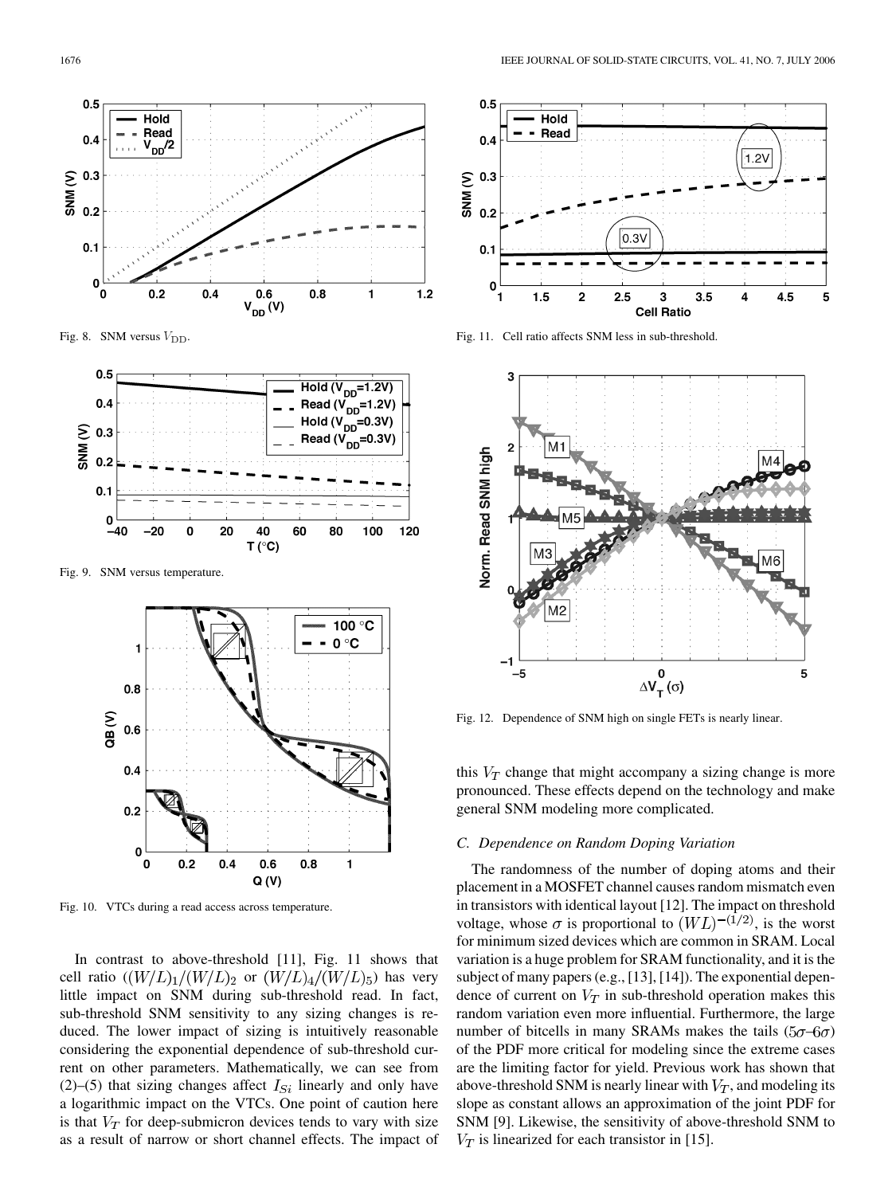<span id="page-3-0"></span>

Fig. 8. SNM versus  $V_{\text{DD}}$ .



Fig. 9. SNM versus temperature.



Fig. 10. VTCs during a read access across temperature.

In contrast to above-threshold [\[11\]](#page-6-0), Fig. 11 shows that cell ratio  $((W/L)_1/(W/L)_2)$  or  $(W/L)_4/(W/L)_5$ ) has very little impact on SNM during sub-threshold read. In fact, sub-threshold SNM sensitivity to any sizing changes is reduced. The lower impact of sizing is intuitively reasonable considering the exponential dependence of sub-threshold current on other parameters. Mathematically, we can see from [\(2\)](#page-1-0)[–\(5\)](#page-2-0) that sizing changes affect  $I_{Si}$  linearly and only have a logarithmic impact on the VTCs. One point of caution here is that  $V_T$  for deep-submicron devices tends to vary with size as a result of narrow or short channel effects. The impact of



Fig. 11. Cell ratio affects SNM less in sub-threshold.



Fig. 12. Dependence of SNM high on single FETs is nearly linear.

this  $V_T$  change that might accompany a sizing change is more pronounced. These effects depend on the technology and make general SNM modeling more complicated.

#### *C. Dependence on Random Doping Variation*

The randomness of the number of doping atoms and their placement in a MOSFET channel causes random mismatch even in transistors with identical layout [\[12\]](#page-6-0). The impact on threshold voltage, whose  $\sigma$  is proportional to  $(WL)^{-(1/2)}$ , is the worst for minimum sized devices which are common in SRAM. Local variation is a huge problem for SRAM functionality, and it is the subject of many papers (e.g., [\[13\], \[14\]\)](#page-6-0). The exponential dependence of current on  $V_T$  in sub-threshold operation makes this random variation even more influential. Furthermore, the large number of bitcells in many SRAMs makes the tails  $(5\sigma - 6\sigma)$ of the PDF more critical for modeling since the extreme cases are the limiting factor for yield. Previous work has shown that above-threshold SNM is nearly linear with  $V_T$ , and modeling its slope as constant allows an approximation of the joint PDF for SNM [\[9\].](#page-6-0) Likewise, the sensitivity of above-threshold SNM to  $V_T$  is linearized for each transistor in [\[15\].](#page-6-0)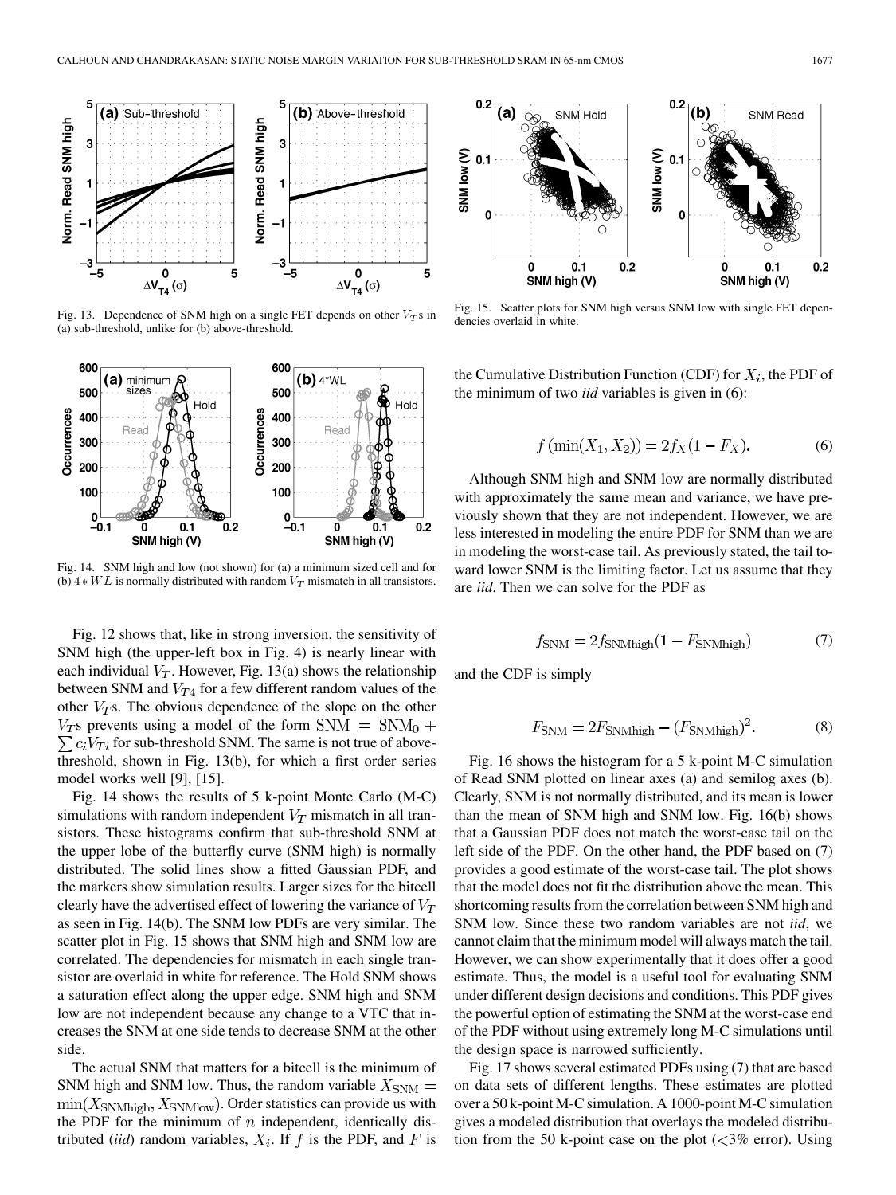<span id="page-4-0"></span>

Fig. 13. Dependence of SNM high on a single FET depends on other  $V_T$ s in (a) sub-threshold, unlike for (b) above-threshold.



Fig. 14. SNM high and low (not shown) for (a) a minimum sized cell and for (b)  $4*WL$  is normally distributed with random  $V_T$  mismatch in all transistors.

[Fig. 12](#page-3-0) shows that, like in strong inversion, the sensitivity of SNM high (the upper-left box in [Fig. 4\)](#page-1-0) is nearly linear with each individual  $V_T$ . However, Fig. 13(a) shows the relationship between SNM and  $V_{T4}$  for a few different random values of the other  $V_T$ s. The obvious dependence of the slope on the other  $V_T$ s prevents using a model of the form SNM = SNM<sub>0</sub> +  $\sum c_i V_{Ti}$  for sub-threshold SNM. The same is not true of abovethreshold, shown in Fig. 13(b), for which a first order series model works well [\[9\], \[15\]](#page-6-0).

Fig. 14 shows the results of 5 k-point Monte Carlo (M-C) simulations with random independent  $V_T$  mismatch in all transistors. These histograms confirm that sub-threshold SNM at the upper lobe of the butterfly curve (SNM high) is normally distributed. The solid lines show a fitted Gaussian PDF, and the markers show simulation results. Larger sizes for the bitcell clearly have the advertised effect of lowering the variance of  $V_T$ as seen in Fig. 14(b). The SNM low PDFs are very similar. The scatter plot in Fig. 15 shows that SNM high and SNM low are correlated. The dependencies for mismatch in each single transistor are overlaid in white for reference. The Hold SNM shows a saturation effect along the upper edge. SNM high and SNM low are not independent because any change to a VTC that increases the SNM at one side tends to decrease SNM at the other side.

The actual SNM that matters for a bitcell is the minimum of SNM high and SNM low. Thus, the random variable  $X_{\text{SNM}} =$  $\min(X_{\text{SNMhigh}}, X_{\text{SNMlow}})$ . Order statistics can provide us with the PDF for the minimum of  $n$  independent, identically distributed *(iid)* random variables,  $X_i$ . If f is the PDF, and F is



Fig. 15. Scatter plots for SNM high versus SNM low with single FET dependencies overlaid in white.

the Cumulative Distribution Function (CDF) for  $X_i$ , the PDF of the minimum of two *iid* variables is given in (6):

$$
f(\min(X_1, X_2)) = 2f_X(1 - F_X). \tag{6}
$$

Although SNM high and SNM low are normally distributed with approximately the same mean and variance, we have previously shown that they are not independent. However, we are less interested in modeling the entire PDF for SNM than we are in modeling the worst-case tail. As previously stated, the tail toward lower SNM is the limiting factor. Let us assume that they are *iid*. Then we can solve for the PDF as

$$
f_{\text{SNM}} = 2f_{\text{SNMhigh}}(1 - F_{\text{SNMhigh}}) \tag{7}
$$

and the CDF is simply

$$
F_{\text{SNM}} = 2F_{\text{SNMhigh}} - (F_{\text{SNMhigh}})^2. \tag{8}
$$

[Fig. 16](#page-5-0) shows the histogram for a 5 k-point M-C simulation of Read SNM plotted on linear axes (a) and semilog axes (b). Clearly, SNM is not normally distributed, and its mean is lower than the mean of SNM high and SNM low. [Fig. 16\(b\)](#page-5-0) shows that a Gaussian PDF does not match the worst-case tail on the left side of the PDF. On the other hand, the PDF based on (7) provides a good estimate of the worst-case tail. The plot shows that the model does not fit the distribution above the mean. This shortcoming results from the correlation between SNM high and SNM low. Since these two random variables are not *iid*, we cannot claim that the minimum model will always match the tail. However, we can show experimentally that it does offer a good estimate. Thus, the model is a useful tool for evaluating SNM under different design decisions and conditions. This PDF gives the powerful option of estimating the SNM at the worst-case end of the PDF without using extremely long M-C simulations until the design space is narrowed sufficiently.

[Fig. 17](#page-5-0) shows several estimated PDFs using (7) that are based on data sets of different lengths. These estimates are plotted over a 50 k-point M-C simulation. A 1000-point M-C simulation gives a modeled distribution that overlays the modeled distribution from the 50 k-point case on the plot  $\langle \langle 3\% \rangle$  error). Using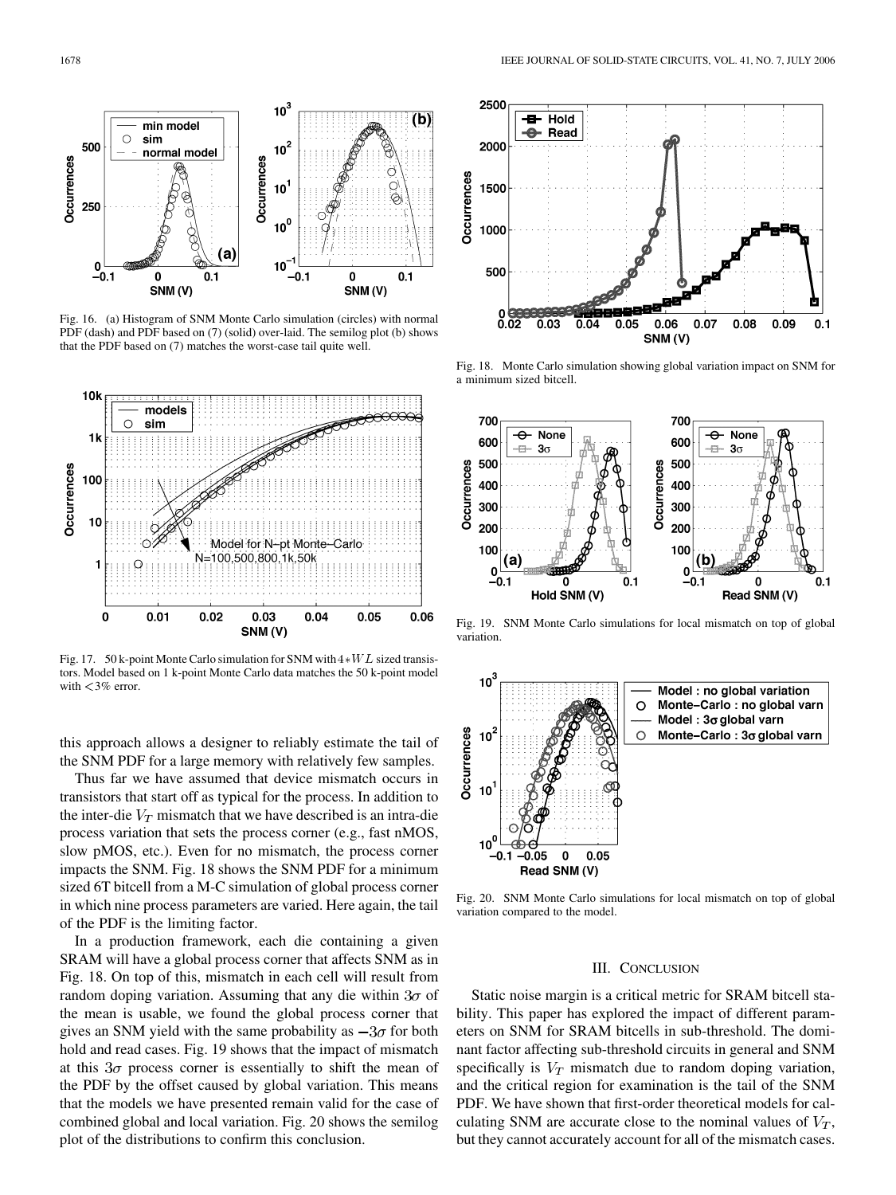<span id="page-5-0"></span>

Fig. 16. (a) Histogram of SNM Monte Carlo simulation (circles) with normal PDF (dash) and PDF based on [\(7\)](#page-4-0) (solid) over-laid. The semilog plot (b) shows that the PDF based on [\(7\)](#page-4-0) matches the worst-case tail quite well.



Fig. 17. 50 k-point Monte Carlo simulation for SNM with  $4*WL$  sized transistors. Model based on 1 k-point Monte Carlo data matches the 50 k-point model with <3% error.

this approach allows a designer to reliably estimate the tail of the SNM PDF for a large memory with relatively few samples.

Thus far we have assumed that device mismatch occurs in transistors that start off as typical for the process. In addition to the inter-die  $V_T$  mismatch that we have described is an intra-die process variation that sets the process corner (e.g., fast nMOS, slow pMOS, etc.). Even for no mismatch, the process corner impacts the SNM. Fig. 18 shows the SNM PDF for a minimum sized 6T bitcell from a M-C simulation of global process corner in which nine process parameters are varied. Here again, the tail of the PDF is the limiting factor.

In a production framework, each die containing a given SRAM will have a global process corner that affects SNM as in Fig. 18. On top of this, mismatch in each cell will result from random doping variation. Assuming that any die within  $3\sigma$  of the mean is usable, we found the global process corner that gives an SNM yield with the same probability as  $-3\sigma$  for both hold and read cases. Fig. 19 shows that the impact of mismatch at this  $3\sigma$  process corner is essentially to shift the mean of the PDF by the offset caused by global variation. This means that the models we have presented remain valid for the case of combined global and local variation. Fig. 20 shows the semilog plot of the distributions to confirm this conclusion.



Fig. 18. Monte Carlo simulation showing global variation impact on SNM for a minimum sized bitcell.



Fig. 19. SNM Monte Carlo simulations for local mismatch on top of global variation.



Fig. 20. SNM Monte Carlo simulations for local mismatch on top of global variation compared to the model.

# III. CONCLUSION

Static noise margin is a critical metric for SRAM bitcell stability. This paper has explored the impact of different parameters on SNM for SRAM bitcells in sub-threshold. The dominant factor affecting sub-threshold circuits in general and SNM specifically is  $V_T$  mismatch due to random doping variation, and the critical region for examination is the tail of the SNM PDF. We have shown that first-order theoretical models for calculating SNM are accurate close to the nominal values of  $V_T$ , but they cannot accurately account for all of the mismatch cases.